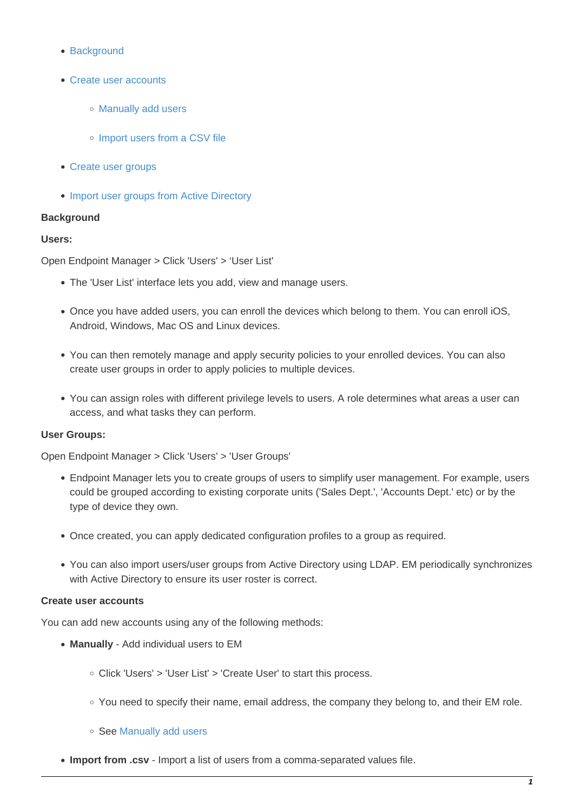- [Background](#page-0-0)
- [Create user accounts](#page-0-1)
	- o [Manually add users](#page-1-0)
	- o [Import users from a CSV file](#page-4-0)
- [Create user groups](#page-6-0)
- [Import user groups from Active Directory](#page-8-0)

# <span id="page-0-0"></span>**Background**

# **Users:**

Open Endpoint Manager > Click 'Users' > 'User List'

- The 'User List' interface lets you add, view and manage users.
- Once you have added users, you can enroll the devices which belong to them. You can enroll iOS, Android, Windows, Mac OS and Linux devices.
- You can then remotely manage and apply security policies to your enrolled devices. You can also create user groups in order to apply policies to multiple devices.
- You can assign roles with different privilege levels to users. A role determines what areas a user can access, and what tasks they can perform.

# **User Groups:**

Open Endpoint Manager > Click 'Users' > 'User Groups'

- Endpoint Manager lets you to create groups of users to simplify user management. For example, users could be grouped according to existing corporate units ('Sales Dept.', 'Accounts Dept.' etc) or by the type of device they own.
- Once created, you can apply dedicated configuration profiles to a group as required.
- You can also import users/user groups from Active Directory using LDAP. EM periodically synchronizes with Active Directory to ensure its user roster is correct.

# <span id="page-0-1"></span>**Create user accounts**

You can add new accounts using any of the following methods:

- **Manually** Add individual users to EM
	- Click 'Users' > 'User List' > 'Create User' to start this process.
	- $\circ$  You need to specify their name, email address, the company they belong to, and their EM role.
	- See [Manually add users](#page-1-0)
- **Import from .csv** Import a list of users from a comma-separated values file.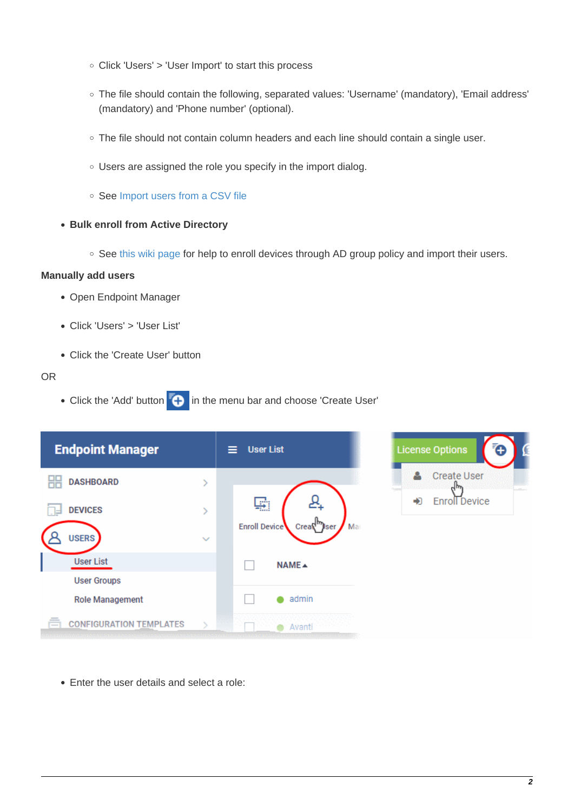- Click 'Users' > 'User Import' to start this process
- The file should contain the following, separated values: 'Username' (mandatory), 'Email address' (mandatory) and 'Phone number' (optional).
- The file should not contain column headers and each line should contain a single user.
- Users are assigned the role you specify in the import dialog.
- See [Import users from a CSV file](#page-4-0)
- **Bulk enroll from Active Directory**
	- See [this wiki page](https://wiki.itarian.com/frontend/web/topic/how-to-use-the-bulk-installer-package-to-enroll-multiple-devices-via-active-directory) for help to enroll devices through AD group policy and import their users.

#### <span id="page-1-0"></span>**Manually add users**

- Open Endpoint Manager
- Click 'Users' > 'User List'
- Click the 'Create User' button

#### OR

• Click the 'Add' button **in** in the menu bar and choose 'Create User'



• Enter the user details and select a role: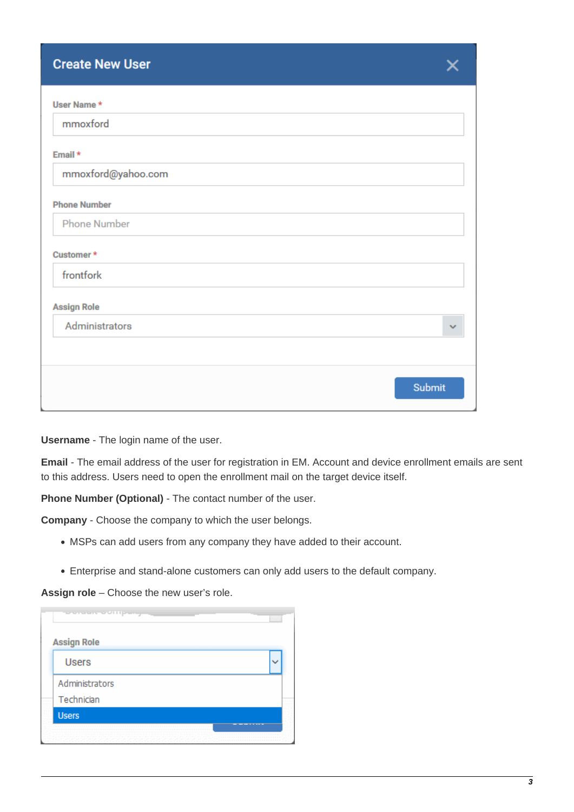# **Create New User**

| User Name *         |        |
|---------------------|--------|
| mmoxford            |        |
| Email *             |        |
| mmoxford@yahoo.com  |        |
| <b>Phone Number</b> |        |
| <b>Phone Number</b> |        |
| Customer*           |        |
| frontfork           |        |
| <b>Assign Role</b>  |        |
| Administrators      |        |
|                     |        |
|                     | Submit |

**Username** - The login name of the user.

**Email** - The email address of the user for registration in EM. Account and device enrollment emails are sent to this address. Users need to open the enrollment mail on the target device itself.

**Phone Number (Optional)** - The contact number of the user.

**Company** - Choose the company to which the user belongs.

- MSPs can add users from any company they have added to their account.
- Enterprise and stand-alone customers can only add users to the default company.

**Assign role** – Choose the new user's role.

<span id="page-2-0"></span>

| <b>Assign Role</b>           |  |  |
|------------------------------|--|--|
| <b>Users</b>                 |  |  |
| Administrators<br>Technician |  |  |
| <b>Users</b>                 |  |  |

X.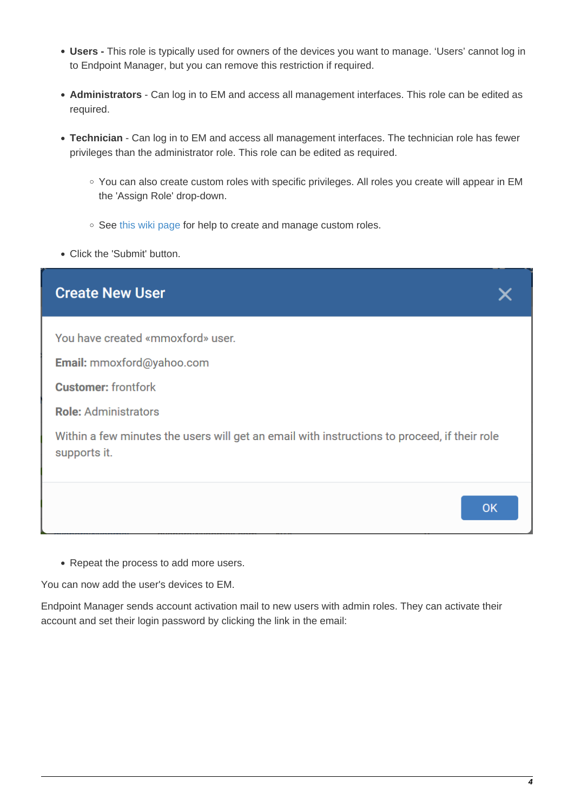- **Users -** This role is typically used for owners of the devices you want to manage. 'Users' cannot log in to Endpoint Manager, but you can remove this restriction if required.
- **Administrators** Can log in to EM and access all management interfaces. This role can be edited as required.
- **Technician** Can log in to EM and access all management interfaces. The technician role has fewer privileges than the administrator role. This role can be edited as required.
	- You can also create custom roles with specific privileges. All roles you create will appear in EM the 'Assign Role' drop-down.
	- See [this wiki page](https://wiki.itarian.com/frontend/web/topic/how-to-create-a-new-role-with-custom-permissions-and-assign-it-to-users) for help to create and manage custom roles.
- Click the 'Submit' button.

| <b>Create New User</b>                                                                                       |           |
|--------------------------------------------------------------------------------------------------------------|-----------|
| You have created «mmoxford» user.                                                                            |           |
| Email: mmoxford@yahoo.com                                                                                    |           |
| <b>Customer: frontfork</b>                                                                                   |           |
| <b>Role: Administrators</b>                                                                                  |           |
| Within a few minutes the users will get an email with instructions to proceed, if their role<br>supports it. |           |
|                                                                                                              | <b>OK</b> |

• Repeat the process to add more users.

You can now add the user's devices to EM.

Endpoint Manager sends account activation mail to new users with admin roles. They can activate their account and set their login password by clicking the link in the email: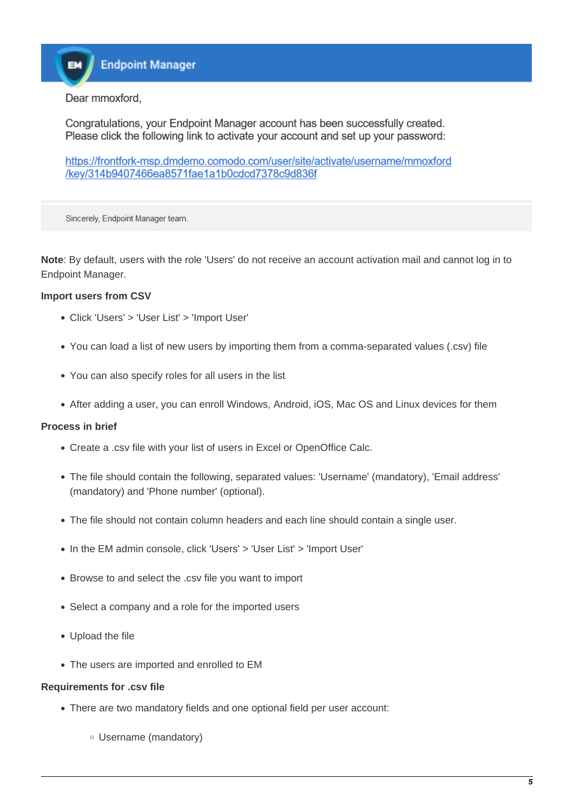Dear mmoxford,

**EM** 

Congratulations, your Endpoint Manager account has been successfully created. Please click the following link to activate your account and set up your password:

https://frontfork-msp.dmdemo.comodo.com/user/site/activate/username/mmoxford /key/314b9407466ea8571fae1a1b0cdcd7378c9d836f

Sincerely, Endpoint Manager team.

**Note**: By default, users with the role 'Users' do not receive an account activation mail and cannot log in to Endpoint Manager.

#### <span id="page-4-0"></span>**Import users from CSV**

- Click 'Users' > 'User List' > 'Import User'
- You can load a list of new users by importing them from a comma-separated values (.csv) file
- You can also specify roles for all users in the list
- After adding a user, you can enroll Windows, Android, iOS, Mac OS and Linux devices for them

#### **Process in brief**

- Create a .csv file with your list of users in Excel or OpenOffice Calc.
- The file should contain the following, separated values: 'Username' (mandatory), 'Email address' (mandatory) and 'Phone number' (optional).
- The file should not contain column headers and each line should contain a single user.
- In the EM admin console, click 'Users' > 'User List' > 'Import User'
- Browse to and select the .csv file you want to import
- Select a company and a role for the imported users
- Upload the file
- The users are imported and enrolled to EM

#### **Requirements for .csv file**

- There are two mandatory fields and one optional field per user account:
	- Username (mandatory)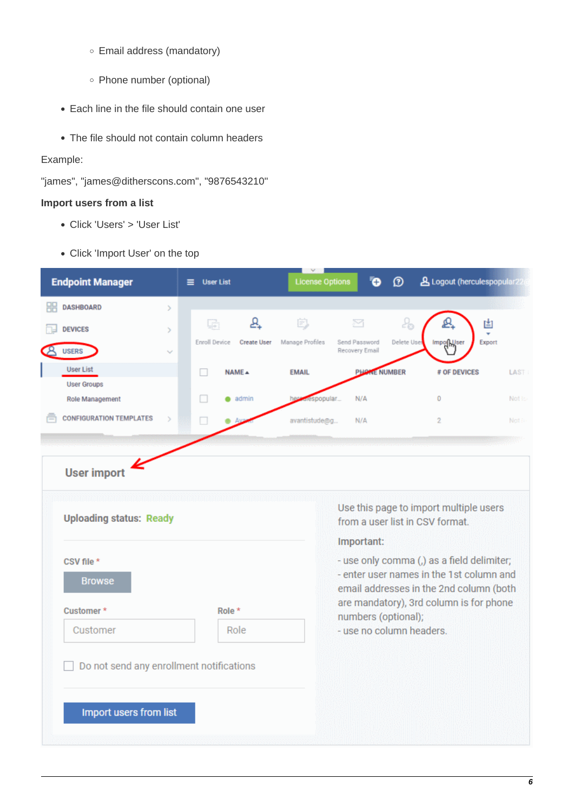- Email address (mandatory)
- Phone number (optional)
- Each line in the file should contain one user
- The file should not contain column headers

# Example:

"james", "james@ditherscons.com", "9876543210"

# **Import users from a list**

- Click 'Users' > 'User List'
- Click 'Import User' on the top

| <b>Endpoint Manager</b>                                            | <b>User List</b><br>≡               | ō<br><b>License Options</b>                        | <b>A</b> Logout (herculespopular22<br>ര                                                |
|--------------------------------------------------------------------|-------------------------------------|----------------------------------------------------|----------------------------------------------------------------------------------------|
| <b>DASHBOARD</b><br>88<br>Y.                                       |                                     |                                                    |                                                                                        |
| <b>DEVICES</b><br>$\rightarrow$                                    | ዲ<br>목                              | 的<br>정                                             | 옮<br>ഉ<br>圕                                                                            |
| <b>USERS</b><br>u                                                  | Enroll Device<br><b>Create User</b> | Manage Profiles<br>Send Password<br>Recovery Email | Delete User<br><b>Import Waer</b><br>Export                                            |
| <b>User List</b>                                                   | NAME A                              | <b>PHONE NUMBER</b><br><b>EMAIL</b>                | # OF DEVICES<br>LAST                                                                   |
| <b>User Groups</b>                                                 |                                     |                                                    |                                                                                        |
| Role Management                                                    | $\bullet$ admin                     | N/A<br>espopular.                                  | 0<br>Not to                                                                            |
| <b>CONFIGURATION TEMPLATES</b><br>$\geq$                           |                                     | avantistude@g<br>N/A                               | $\overline{2}$<br>Not i-                                                               |
| <b>Uploading status: Ready</b>                                     |                                     | Important:                                         | Use this page to import multiple users<br>from a user list in CSV format.              |
| CSV file *                                                         |                                     |                                                    | - use only comma (,) as a field delimiter;<br>- enter user names in the 1st column and |
| <b>Browse</b>                                                      |                                     |                                                    | email addresses in the 2nd column (both                                                |
| Customer*                                                          | Role *                              | numbers (optional);                                | are mandatory), 3rd column is for phone                                                |
| Customer                                                           | Role                                | - use no column headers.                           |                                                                                        |
| Do not send any enrollment notifications<br>Import users from list |                                     |                                                    |                                                                                        |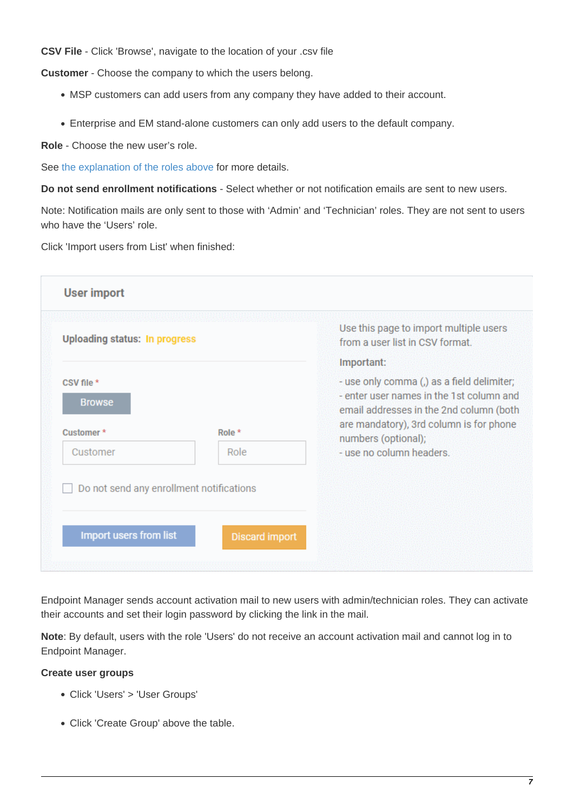**CSV File** - Click 'Browse', navigate to the location of your .csv file

**Customer** - Choose the company to which the users belong.

- MSP customers can add users from any company they have added to their account.
- Enterprise and EM stand-alone customers can only add users to the default company.

**Role** - Choose the new user's role.

See [the explanation of the roles above](#page-2-0) for more details.

**Do not send enrollment notifications** - Select whether or not notification emails are sent to new users.

Note: Notification mails are only sent to those with 'Admin' and 'Technician' roles. They are not sent to users who have the 'Users' role.

Click 'Import users from List' when finished:

| <b>Uploading status: In progress</b> |                                          | Use this page to import multiple users<br>from a user list in CSV format.                                                         |
|--------------------------------------|------------------------------------------|-----------------------------------------------------------------------------------------------------------------------------------|
|                                      |                                          | Important:                                                                                                                        |
| CSV file *<br><b>Browse</b>          |                                          | - use only comma (,) as a field delimiter;<br>- enter user names in the 1st column and<br>email addresses in the 2nd column (both |
| Customer*                            | Role *                                   | are mandatory), 3rd column is for phone<br>numbers (optional);                                                                    |
| Customer                             | Role                                     | - use no column headers.                                                                                                          |
|                                      | Do not send any enrollment notifications |                                                                                                                                   |
| Import users from list               | <b>Discard import</b>                    |                                                                                                                                   |

Endpoint Manager sends account activation mail to new users with admin/technician roles. They can activate their accounts and set their login password by clicking the link in the mail.

**Note**: By default, users with the role 'Users' do not receive an account activation mail and cannot log in to Endpoint Manager.

# <span id="page-6-0"></span>**Create user groups**

- Click 'Users' > 'User Groups'
- Click 'Create Group' above the table.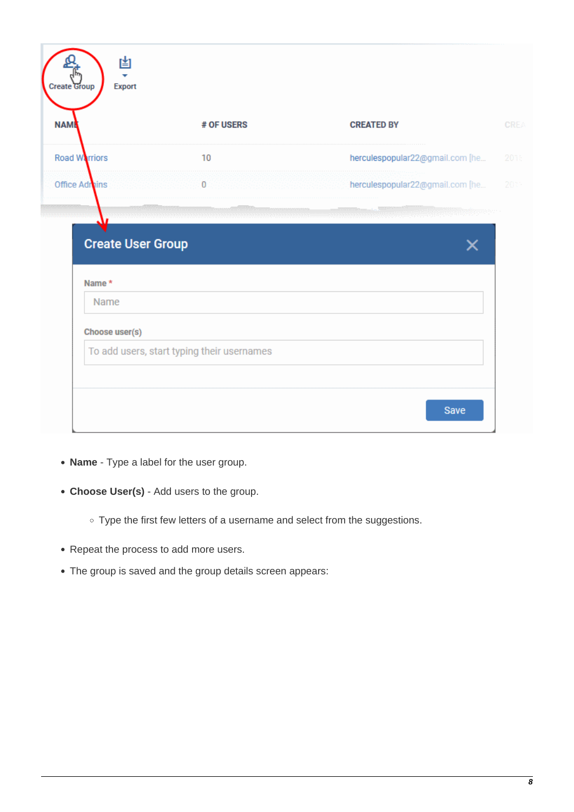| 10 | herculespopular22@gmail.com [he |
|----|---------------------------------|
| 0  | herculespopular22@gmail.com [he |
|    |                                 |
|    |                                 |
|    |                                 |
|    |                                 |
|    | <b>Create User Group</b>        |

- **Name** Type a label for the user group.
- **Choose User(s)** Add users to the group.
	- Type the first few letters of a username and select from the suggestions.
- Repeat the process to add more users.
- The group is saved and the group details screen appears: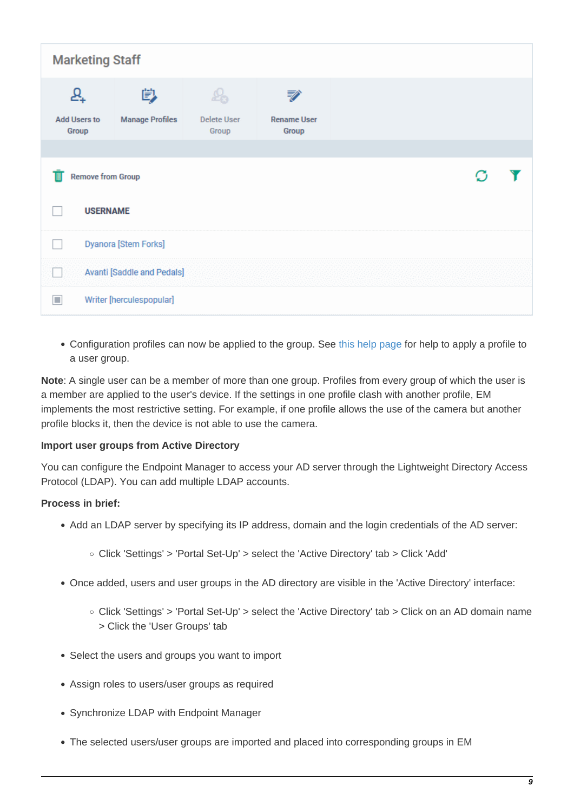| <b>Marketing Staff</b>       |                                   |                             |                             |  |  |  |
|------------------------------|-----------------------------------|-----------------------------|-----------------------------|--|--|--|
|                              | 飮                                 | ஆ                           | ₹                           |  |  |  |
| <b>Add Users to</b><br>Group | <b>Manage Profiles</b>            | <b>Delete User</b><br>Group | <b>Rename User</b><br>Group |  |  |  |
|                              |                                   |                             |                             |  |  |  |
| <b>Remove from Group</b>     |                                   |                             |                             |  |  |  |
| <b>USERNAME</b>              |                                   |                             |                             |  |  |  |
|                              | Dyanora [Stem Forks]              |                             |                             |  |  |  |
|                              | <b>Avanti [Saddle and Pedals]</b> |                             |                             |  |  |  |
| П                            | Writer [herculespopular]          |                             |                             |  |  |  |

Configuration profiles can now be applied to the group. See [this help page](https://community.itarian.com/help/topic-459-1-1005-14826-Assign-Configuration-Profiles-to-a-User-Group.html) for help to apply a profile to a user group.

**Note**: A single user can be a member of more than one group. Profiles from every group of which the user is a member are applied to the user's device. If the settings in one profile clash with another profile, EM implements the most restrictive setting. For example, if one profile allows the use of the camera but another profile blocks it, then the device is not able to use the camera.

# <span id="page-8-0"></span>**Import user groups from Active Directory**

You can configure the Endpoint Manager to access your AD server through the Lightweight Directory Access Protocol (LDAP). You can add multiple LDAP accounts.

#### **Process in brief:**

- Add an LDAP server by specifying its IP address, domain and the login credentials of the AD server:
	- Click 'Settings' > 'Portal Set-Up' > select the 'Active Directory' tab > Click 'Add'
- Once added, users and user groups in the AD directory are visible in the 'Active Directory' interface:
	- Click 'Settings' > 'Portal Set-Up' > select the 'Active Directory' tab > Click on an AD domain name > Click the 'User Groups' tab
- Select the users and groups you want to import
- Assign roles to users/user groups as required
- Synchronize LDAP with Endpoint Manager
- The selected users/user groups are imported and placed into corresponding groups in EM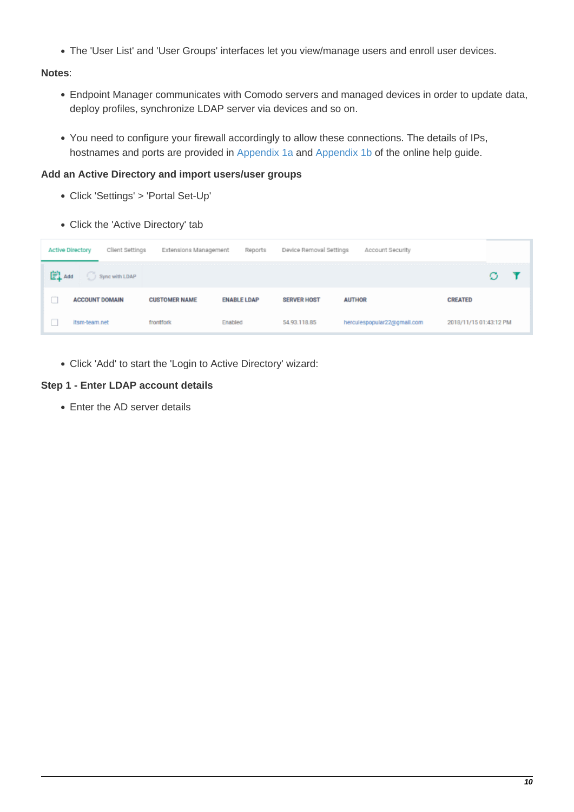The 'User List' and 'User Groups' interfaces let you view/manage users and enroll user devices.

# **Notes**:

- Endpoint Manager communicates with Comodo servers and managed devices in order to update data, deploy profiles, synchronize LDAP server via devices and so on.
- You need to configure your firewall accordingly to allow these connections. The details of IPs, hostnames and ports are provided in [Appendix 1a](https://community.itarian.com/help/topic-459-1-1005-14775-Appendix-1a---Endpoint-Manager-Services---IP-Nos,-Host-Names-and-Port-Details---EU-Customers.html) and [Appendix 1b](https://community.itarian.com/help/topic-459-1-1005-14776-Appendix-1b---Endpoint-Manager-Services---IP-Nos,-Host-Names-and-Port-Details---US-Customers.html) of the online help guide.

# **Add an Active Directory and import users/user groups**

- Click 'Settings' > 'Portal Set-Up'
- Click the 'Active Directory' tab

|              | Client Settings<br><b>Active Directory</b> | Extensions Management | Reports            | Device Removal Settings | Account Security            |                        |
|--------------|--------------------------------------------|-----------------------|--------------------|-------------------------|-----------------------------|------------------------|
| <b>图</b> Add | Sync with LDAP                             |                       |                    |                         |                             |                        |
|              | <b>ACCOUNT DOMAIN</b>                      | <b>CUSTOMER NAME</b>  | <b>ENABLE LDAP</b> | <b>SERVER HOST</b>      | <b>AUTHOR</b>               | <b>CREATED</b>         |
|              | Itsm-team.net                              | frontfork             | Enabled            | 54.93.118.85            | herculespopular22@gmail.com | 2018/11/15 01:43:12 PM |

Click 'Add' to start the 'Login to Active Directory' wizard:

# **Step 1 - Enter LDAP account details**

• Enter the AD server details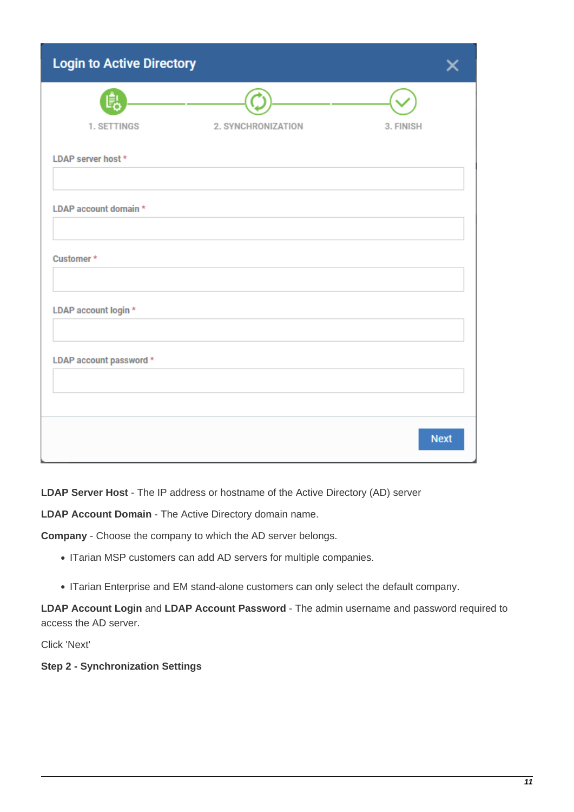| <b>Login to Active Directory</b> |                    |           |             |
|----------------------------------|--------------------|-----------|-------------|
|                                  |                    |           |             |
| 1. SETTINGS                      | 2. SYNCHRONIZATION | 3. FINISH |             |
| LDAP server host *               |                    |           |             |
| LDAP account domain *            |                    |           |             |
| Customer*                        |                    |           |             |
| LDAP account login *             |                    |           |             |
| LDAP account password *          |                    |           |             |
|                                  |                    |           |             |
|                                  |                    |           | <b>Next</b> |

**LDAP Server Host** - The IP address or hostname of the Active Directory (AD) server

**LDAP Account Domain** - The Active Directory domain name.

**Company** - Choose the company to which the AD server belongs.

- ITarian MSP customers can add AD servers for multiple companies.
- ITarian Enterprise and EM stand-alone customers can only select the default company.

**LDAP Account Login** and **LDAP Account Password** - The admin username and password required to access the AD server.

Click 'Next'

**Step 2 - Synchronization Settings**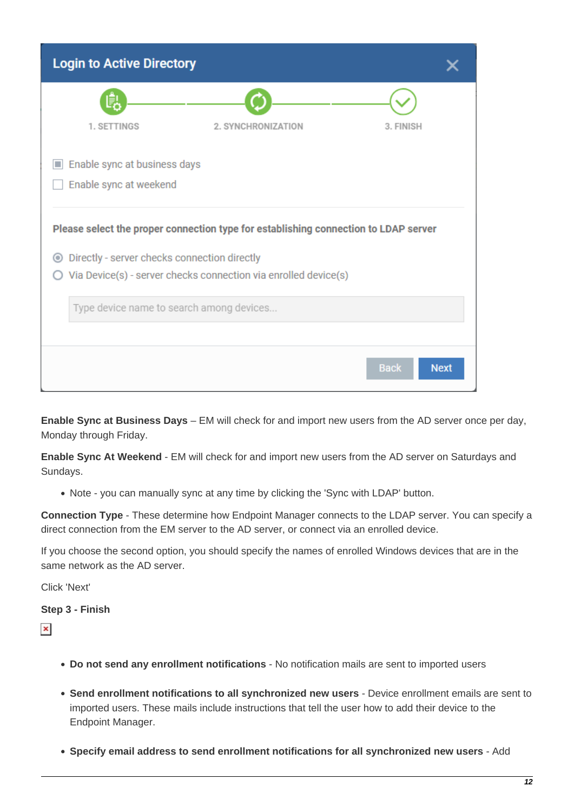| <b>Login to Active Directory</b>                                                    |                            |
|-------------------------------------------------------------------------------------|----------------------------|
|                                                                                     |                            |
| 2. SYNCHRONIZATION<br>1. SETTINGS                                                   | 3. FINISH                  |
| Enable sync at business days<br>L.                                                  |                            |
| Enable sync at weekend                                                              |                            |
| Please select the proper connection type for establishing connection to LDAP server |                            |
| Directly - server checks connection directly<br>$\circledcirc$                      |                            |
| Via Device(s) - server checks connection via enrolled device(s)                     |                            |
| Type device name to search among devices                                            |                            |
|                                                                                     |                            |
|                                                                                     | <b>Back</b><br><b>Next</b> |

**Enable Sync at Business Days** – EM will check for and import new users from the AD server once per day, Monday through Friday.

**Enable Sync At Weekend** - EM will check for and import new users from the AD server on Saturdays and Sundays.

Note - you can manually sync at any time by clicking the 'Sync with LDAP' button.

**Connection Type** - These determine how Endpoint Manager connects to the LDAP server. You can specify a direct connection from the EM server to the AD server, or connect via an enrolled device.

If you choose the second option, you should specify the names of enrolled Windows devices that are in the same network as the AD server.

Click 'Next'

```
Step 3 - Finish
```
 $\pmb{\times}$ 

- **Do not send any enrollment notifications** No notification mails are sent to imported users
- **Send enrollment notifications to all synchronized new users** Device enrollment emails are sent to imported users. These mails include instructions that tell the user how to add their device to the Endpoint Manager.
- **Specify email address to send enrollment notifications for all synchronized new users** Add